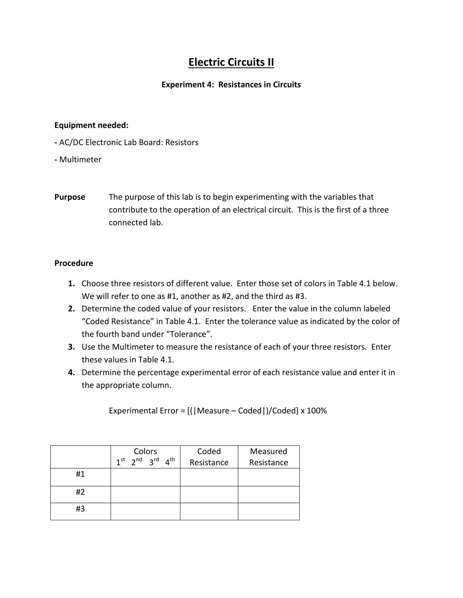# **Electric Circuits II**

# **Experiment 4: Resistances in Circuits**

#### **Equipment needed:**

- **-** AC/DC Electronic Lab Board: Resistors
- **-** Multimeter
- **Purpose** The purpose of this lab is to begin experimenting with the variables that contribute to the operation of an electrical circuit. This is the first of a three connected lab.

# **Procedure**

- **1.** Choose three resistors of different value. Enter those set of colors in Table 4.1 below. We will refer to one as #1, another as #2, and the third as #3.
- **2.** Determine the coded value of your resistors. Enter the value in the column labeled "Coded Resistance" in Table 4.1. Enter the tolerance value as indicated by the color of the fourth band under "Tolerance".
- **3.** Use the Multimeter to measure the resistance of each of your three resistors. Enter these values in Table 4.1.
- **4.** Determine the percentage experimental error of each resistance value and enter it in the appropriate column.

Experimental Error = [(|Measure – Coded|)/Coded] x 100%

|    | Colors<br>$1^{st}$ $2^{nd}$ $3^{rd}$ | Coded      | Measured   |
|----|--------------------------------------|------------|------------|
|    | $\Lambda^{\text{th}}$                | Resistance | Resistance |
| #1 |                                      |            |            |
| #2 |                                      |            |            |
| #3 |                                      |            |            |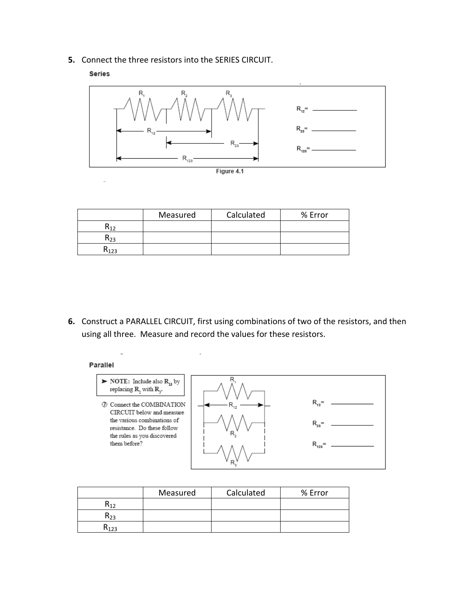**5.** Connect the three resistors into the SERIES CIRCUIT.

#### Series



|            | Measured | Calculated | % Error |
|------------|----------|------------|---------|
| <b>1</b> 2 |          |            |         |
| Rэз        |          |            |         |
| 11 72      |          |            |         |

**6.** Construct a PARALLEL CIRCUIT, first using combinations of two of the resistors, and then using all three. Measure and record the values for these resistors.

#### Parallel

- $\triangleright$  NOTE: Include also  $R_{13}$  by replacing  $\mathbf{R}_{2}$  with  $\mathbf{R}_{3}$ .
- 7 Connect the COMBINATION CIRCUIT below and measure the various combinations of resistance. Do these follow the rules as you discovered them before?



|      | Measured | Calculated | % Error |
|------|----------|------------|---------|
| ٦12  |          |            |         |
| าวว  |          |            |         |
| 1122 |          |            |         |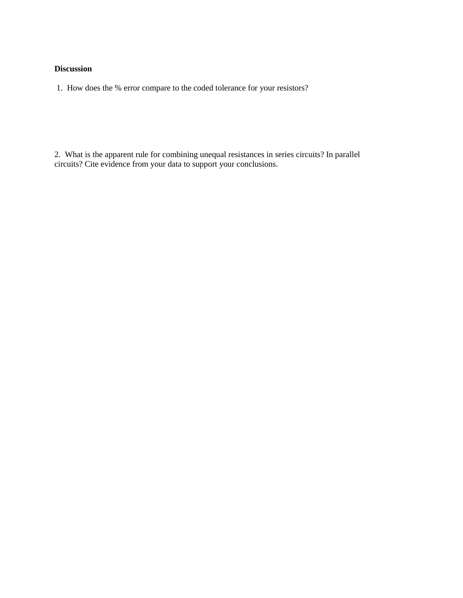#### **Discussion**

1. How does the % error compare to the coded tolerance for your resistors?

2. What is the apparent rule for combining unequal resistances in series circuits? In parallel circuits? Cite evidence from your data to support your conclusions.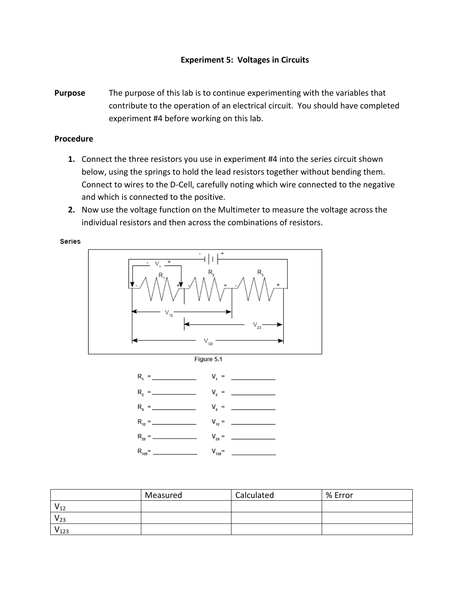### **Experiment 5: Voltages in Circuits**

**Purpose** The purpose of this lab is to continue experimenting with the variables that contribute to the operation of an electrical circuit. You should have completed experiment #4 before working on this lab.

### **Procedure**

- **1.** Connect the three resistors you use in experiment #4 into the series circuit shown below, using the springs to hold the lead resistors together without bending them. Connect to wires to the D-Cell, carefully noting which wire connected to the negative and which is connected to the positive.
- **2.** Now use the voltage function on the Multimeter to measure the voltage across the individual resistors and then across the combinations of resistors.

**Series** 



|                             | Measured | Calculated | % Error |
|-----------------------------|----------|------------|---------|
| $V_{12}$                    |          |            |         |
| $\mathsf{V}_{23}$           |          |            |         |
| $\mathsf{V}_{\mathsf{123}}$ |          |            |         |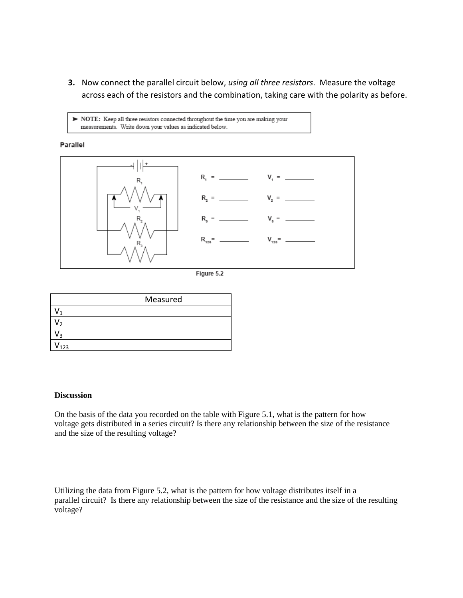**3.** Now connect the parallel circuit below, *using all three resistors*. Measure the voltage across each of the resistors and the combination, taking care with the polarity as before.

> NOTE: Keep all three resistors connected throughout the time you are making your measurements. Write down your values as indicated below.

Parallel



Figure 5.2

|     | Measured |
|-----|----------|
|     |          |
| っ   |          |
| / २ |          |
| 123 |          |

#### **Discussion**

On the basis of the data you recorded on the table with Figure 5.1, what is the pattern for how voltage gets distributed in a series circuit? Is there any relationship between the size of the resistance and the size of the resulting voltage?

Utilizing the data from Figure 5.2, what is the pattern for how voltage distributes itself in a parallel circuit? Is there any relationship between the size of the resistance and the size of the resulting voltage?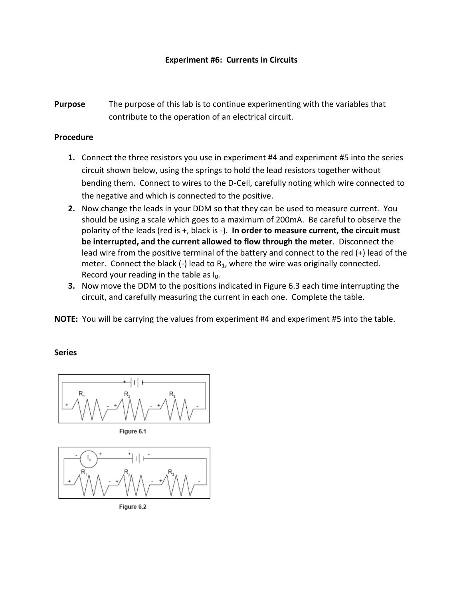### **Experiment #6: Currents in Circuits**

**Purpose** The purpose of this lab is to continue experimenting with the variables that contribute to the operation of an electrical circuit.

## **Procedure**

- **1.** Connect the three resistors you use in experiment #4 and experiment #5 into the series circuit shown below, using the springs to hold the lead resistors together without bending them. Connect to wires to the D-Cell, carefully noting which wire connected to the negative and which is connected to the positive.
- **2.** Now change the leads in your DDM so that they can be used to measure current. You should be using a scale which goes to a maximum of 200mA. Be careful to observe the polarity of the leads (red is +, black is -). **In order to measure current, the circuit must be interrupted, and the current allowed to flow through the meter**. Disconnect the lead wire from the positive terminal of the battery and connect to the red (+) lead of the meter. Connect the black (-) lead to  $R_1$ , where the wire was originally connected. Record your reading in the table as  $I_0$ .
- **3.** Now move the DDM to the positions indicated in Figure 6.3 each time interrupting the circuit, and carefully measuring the current in each one. Complete the table.

**NOTE:** You will be carrying the values from experiment #4 and experiment #5 into the table.

#### **Series**







Figure 6.2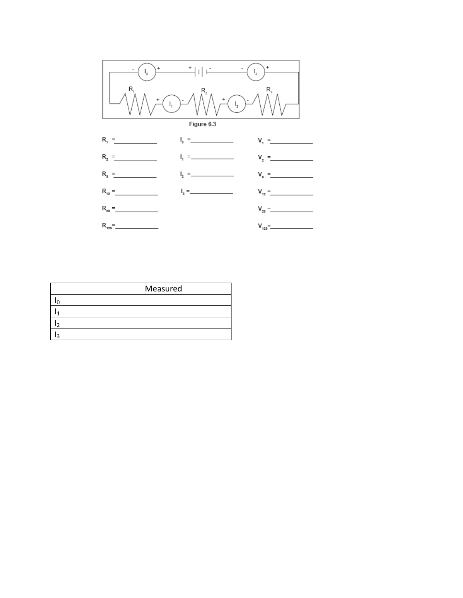

| Measured |
|----------|
|          |
|          |
|          |
|          |